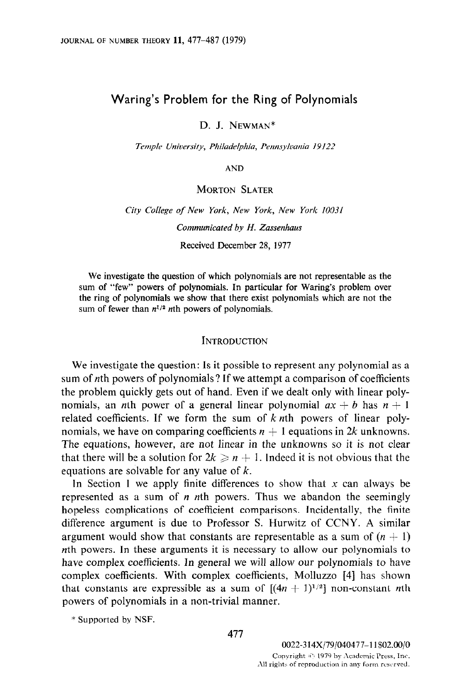# Waring's Problem for the Ring of Polynomials

D. J. NEWMAN\*

Temple University, Philadelphia, Pennsylvania 19122

AND

MORTON SLATER

City ColIege of New York, New York, New York 10031 Communicated by H. Zassenhaus Received December 28, 1977

We investigate the question of which polynomials are not representable as the sum of "few" powers of polynomials. In particular for Waring's problem over the ring of polynomials we show that there exist polynomials which are not the sum of fewer than  $n^{1/2}$  nth powers of polynomials.

### **INTRODUCTION**

We investigate the question: Is it possible to represent any polynomial as a sum of nth powers of polynomials? If we attempt a comparison of coefficients the problem quickly gets out of hand. Even if we dealt only with linear polynomials, an *n*th power of a general linear polynomial  $ax + b$  has  $n + 1$ related coefficients. If we form the sum of  $k$  nth powers of linear polynomials, we have on comparing coefficients  $n + 1$  equations in 2k unknowns. The equations, however, are not linear in the unknowns so it is not clear that there will be a solution for  $2k \geq n + 1$ . Indeed it is not obvious that the equations are solvable for any value of  $k$ .

In Section I we apply finite differences to show that  $x$  can always be represented as a sum of  $n$  nth powers. Thus we abandon the seemingly hopeless complications of coefficient comparisons. Incidentally, the finite difference argument is due to Professor S. Hurwitz of CCNY. A similar argument would show that constants are representable as a sum of  $(n + 1)$ nth powers. In these arguments it is necessary to allow our polynomials to have complex coefficients. In general we will allow our polynomials to have complex coefficients. With complex coefficients, Molluzzo [4] has shown that constants are expressible as a sum of  $[(4n + 1)^{1/2}]$  non-constant nth powers of polynomials in a non-trivial manner.

\* Supported by NSF.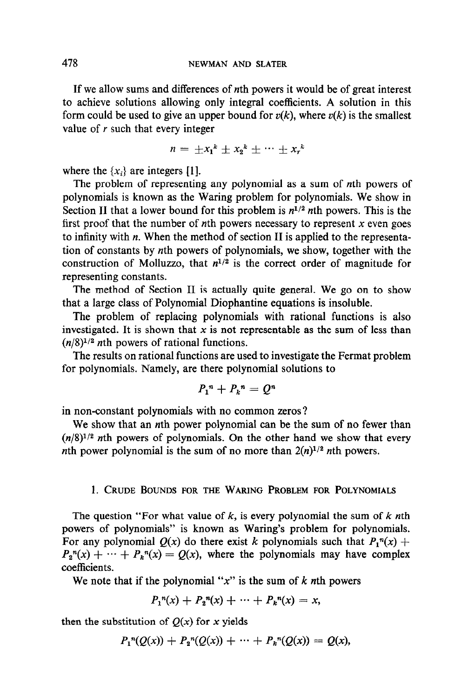If we allow sums and differences of nth powers it would be of great interest to achieve solutions allowing only integral coefficients. A solution in this form could be used to give an upper bound for  $v(k)$ , where  $v(k)$  is the smallest value of  $r$  such that every integer

$$
n = \pm x_1^k \pm x_2^k \pm \cdots \pm x_r^k
$$

where the  $\{x_i\}$  are integers [1].

The problem of representing any polynomial as a sum of nth powers of polynomials is known as the Waring problem for polynomials. We show in Section II that a lower bound for this problem is  $n^{1/2}$  nth powers. This is the first proof that the number of nth powers necessary to represent  $x$  even goes to infinity with n. When the method of section II is applied to the representation of constants by nth powers of polynomials, we show, together with the construction of Molluzzo, that  $n^{1/2}$  is the correct order of magnitude for representing constants.

The method of Section II is actually quite general. We go on to show that a large class of Polynomial Diophantine equations is insoluble.

The problem of replacing polynomials with rational functions is also investigated. It is shown that  $x$  is not representable as the sum of less than  $(n/8)^{1/2}$  nth powers of rational functions.

The results on rational functions are used to investigate the Fermat problem for polynomials. Namely, are there polynomial solutions to

$$
P_1^n + P_k^n = Q^n
$$

in non-constant polynomials with no common zeros?

We show that an *n*th power polynomial can be the sum of no fewer than  $(n/8)^{1/2}$  nth powers of polynomials. On the other hand we show that every nth power polynomial is the sum of no more than  $2(n)^{1/2}$  nth powers.

## 1. CRUDE BOUNDS FOR THE WARING PROBLEM FOR POLYNOMIALS

The question "For what value of  $k$ , is every polynomial the sum of  $k$  nth powers of polynomials" is known as Waring's problem for polynomials. For any polynomial  $Q(x)$  do there exist k polynomials such that  $P_1<sup>n</sup>(x)$  +  $P_2^{n}(x) + \cdots + P_k^{n}(x) = Q(x)$ , where the polynomials may have complex coefficients.

We note that if the polynomial " $x$ " is the sum of  $k$  nth powers

$$
P_1^{n}(x) + P_2^{n}(x) + \cdots + P_k^{n}(x) = x,
$$

then the substitution of  $Q(x)$  for x yields

$$
P_1^{n}(Q(x)) + P_2^{n}(Q(x)) + \cdots + P_k^{n}(Q(x)) = Q(x),
$$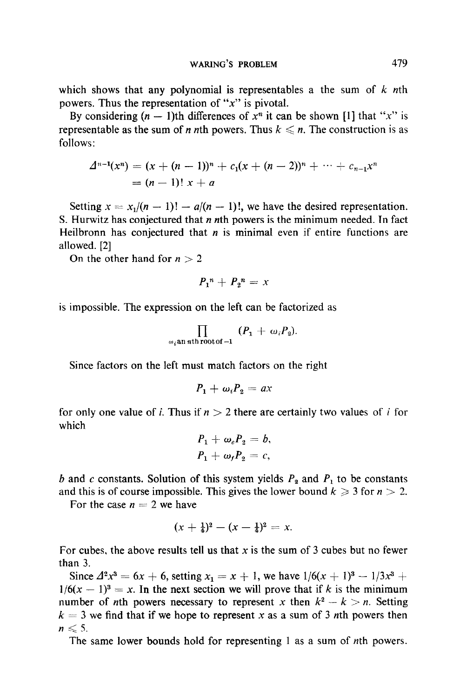which shows that any polynomial is representables a the sum of  $k$  nth powers. Thus the representation of " $x$ " is pivotal.

By considering  $(n - 1)$ th differences of  $x^n$  it can be shown [1] that "x" is representable as the sum of *n* nth powers. Thus  $k \le n$ . The construction is as follows:

$$
\Delta^{n-1}(x^n) = (x + (n-1))^n + c_1(x + (n-2))^n + \cdots + c_{n-1}x^n
$$
  
= (n-1)! x + a

Setting  $x = x_1/(n-1)! - a/(n-1)!$ , we have the desired representation. S. Hurwitz has conjectured that  $n$  nth powers is the minimum needed. In fact Heilbronn has conjectured that  $n$  is minimal even if entire functions are allowed. [2]

On the other hand for  $n > 2$ 

$$
P_1^n + P_2^n = x
$$

is impossible. The expression on the left can be factorized as

$$
\prod_{\omega_i \text{ an nth root of } -1} (P_1 + \omega_i P_2).
$$

Since factors on the left must match factors on the right

$$
P_1 + \omega_i P_2 = a x
$$

for only one value of i. Thus if  $n > 2$  there are certainly two values of i for which

$$
P_1 + \omega_e P_2 = b,
$$
  

$$
P_1 + \omega_f P_2 = c,
$$

b and c constants. Solution of this system yields  $P_2$  and  $P_1$  to be constants and this is of course impossible. This gives the lower bound  $k \geq 3$  for  $n > 2$ .

For the case  $n = 2$  we have

$$
(x + \frac{1}{4})^2 - (x - \frac{1}{4})^2 = x.
$$

For cubes, the above results tell us that x is the sum of 3 cubes but no fewer than 3.

Since  $\Delta^2 x^3 = 6x + 6$ , setting  $x_1 = x + 1$ , we have  $1/6(x + 1)^3 - 1/3x^3 +$  $1/6(x - 1)^3 = x$ . In the next section we will prove that if k is the minimum number of nth powers necessary to represent x then  $k^2 - k > n$ . Setting  $k = 3$  we find that if we hope to represent x as a sum of 3 nth powers then  $n \leq 5$ .

The same lower bounds hold for representing 1 as a sum of *n*th powers.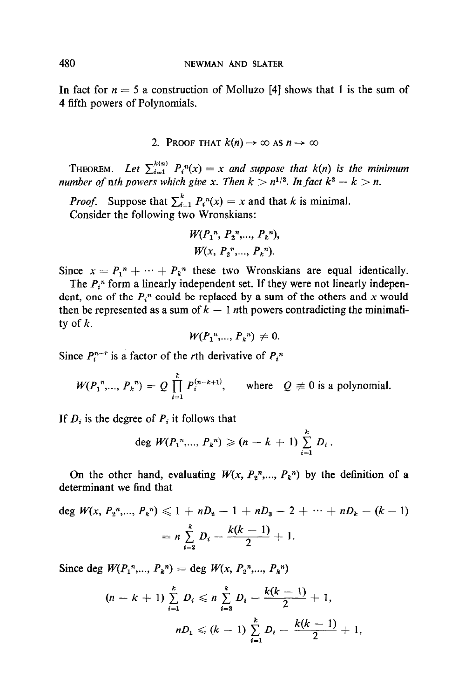In fact for  $n = 5$  a construction of Molluzo [4] shows that 1 is the sum of 4 fifth powers of Polynomials.

### 2. PROOF THAT  $k(n) \rightarrow \infty$  as  $n \rightarrow \infty$

THEOREM. Let  $\sum_{i=1}^{k(n)} P_i^{n}(x) = x$  and suppose that  $k(n)$  is the minimum number of nth powers which give x. Then  $k > n^{1/2}$ . In fact  $k^2 - k > n$ .

*Proof.* Suppose that  $\sum_{i=1}^{k} P_i^{n}(x) = x$  and that k is minimal. Consider the following two Wronskians:

$$
W(P_1^n, P_2^n, \ldots, P_k^n),
$$
  

$$
W(x, P_2^n, \ldots, P_k^n).
$$

Since  $x = P_1^n + \cdots + P_k^n$  these two Wronskians are equal identically.

The  $P_i$ <sup>n</sup> form a linearly independent set. If they were not linearly independent, one of the  $P_i$ <sup>n</sup> could be replaced by a sum of the others and x would then be represented as a sum of  $k - 1$  nth powers contradicting the minimality of  $k$ .

 $W(P_1^n, ..., P_k^n) \neq 0.$ 

Since  $P_i^{n-r}$  is a factor of the rth derivative of  $P_i^n$ 

 $W(P_1^n, ..., P_k^n) = O \prod_{i=1}^k P_i^{(n-k+1)}$ , where  $Q \neq 0$  is a polynomial. i=l

If  $D_i$  is the degree of  $P_i$  it follows that

$$
\deg W(P_1^n,...,P_k^n) \geqslant (n-k+1) \sum_{i=1}^k D_i.
$$

 $\overline{1}$ 

On the other hand, evaluating  $W(x, P_2^n, ..., P_k^n)$  by the definition of a determinant we find that

$$
\deg W(x, P_2^n, ..., P_k^n) \leq 1 + nD_2 - 1 + nD_3 - 2 + \cdots + nD_k - (k-1)
$$
  
=  $n \sum_{i=2}^k D_i - \frac{k(k-1)}{2} + 1.$ 

Since deg  $W(P_1^n, ..., P_k^n) = \text{deg } W(x, P_2^n, ..., P_k^n)$ 

$$
(n - k + 1) \sum_{i=1}^{k} D_i \leq n \sum_{i=2}^{k} D_i - \frac{k(k-1)}{2} + 1,
$$
  

$$
nD_1 \leq (k - 1) \sum_{i=1}^{k} D_i - \frac{k(k-1)}{2} + 1,
$$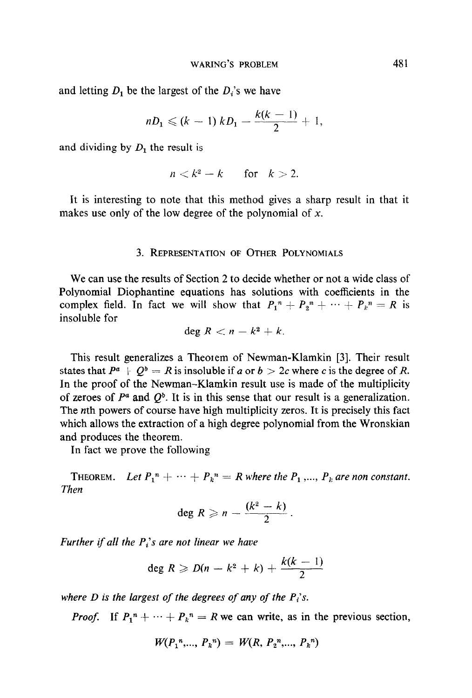and letting  $D_1$  be the largest of the  $D_i$ 's we have

$$
nD_1 \leq (k-1) kD_1 - \frac{k(k-1)}{2} + 1,
$$

and dividing by  $D_1$  the result is

$$
n < k^2 - k \qquad \text{for} \quad k > 2.
$$

It is interesting to note that this method gives a sharp result in that it makes use only of the low degree of the polynomial of  $x$ .

#### 3. REPRESENTATION OF OTHER POLYNOMIALS

We can use the results of Section 2 to decide whether or not a wide class of Polynomial Diophantine equations has solutions with coefficients in the complex field. In fact we will show that  $P_1^n + P_2^n + \cdots + P_k^n = R$  is insoluble for

$$
\deg R < n - k^2 + k.
$$

This result generalizes a Theorem of Newman-Klamkin [3]. Their result states that  $P^a + Q^b = R$  is insoluble if a or  $b > 2c$  where c is the degree of R. In the proof of the Newman-Klamkin result use is made of the multiplicity of zeroes of  $P^a$  and  $Q^b$ . It is in this sense that our result is a generalization. The nth powers of course have high multiplicity zeros. It is precisely this fact which allows the extraction of a high degree polynomial from the Wronskian and produces the theorem.

In fact we prove the following

THEOREM. Let  $P_1^n + \cdots + P_k^n = R$  where the  $P_1, ..., P_k$  are non constant. Then

$$
\deg R \geqslant n - \frac{(k^2 - k)}{2}.
$$

Further if all the  $P_i$ 's are not linear we have

$$
\deg R \geqslant D(n-k^2+k)+\frac{k(k-1)}{2}
$$

where  $D$  is the largest of the degrees of any of the  $P_i$ 's.

*Proof.* If  $P_1^n + \cdots + P_k^n = R$  we can write, as in the previous section,

$$
W(P_1^n, ..., P_k^n) = W(R, P_2^n, ..., P_k^n)
$$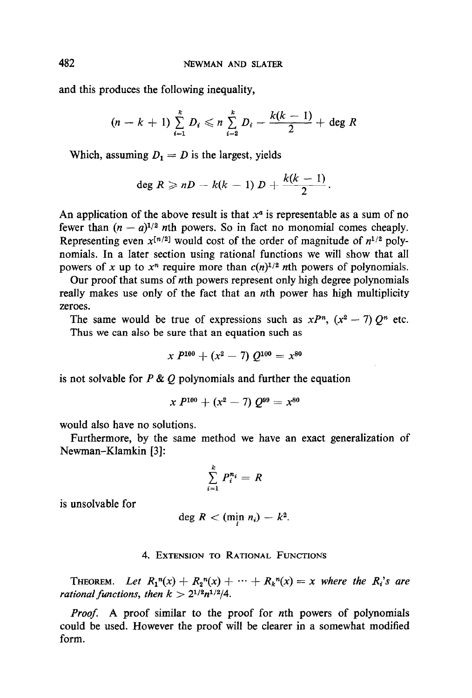and this produces the following inequality,

$$
(n-k+1)\sum_{i=1}^k D_i \leqslant n \sum_{i=2}^k D_i - \frac{k(k-1)}{2} + \deg R
$$

Which, assuming  $D_1 = D$  is the largest, yields

$$
\deg R \geqslant nD - k(k-1) D + \frac{k(k-1)}{2}.
$$

An application of the above result is that  $x<sup>a</sup>$  is representable as a sum of no fewer than  $(n - a)^{1/2}$  nth powers. So in fact no monomial comes cheaply. Representing even  $x^{[n/2]}$  would cost of the order of magnitude of  $n^{1/2}$  polynomials. In a later section using rational functions we will show that all powers of x up to  $x^n$  require more than  $c(n)^{1/2}$  nth powers of polynomials.

Our proof that sums of nth powers represent only high degree polynomials really makes use only of the fact that an nth power has high multiplicity zeroes.

The same would be true of expressions such as  $x P^n$ ,  $(x^2 - 7) Q^n$  etc. Thus we can also be sure that an equation such as

 $x P^{100} + (x^2 - 7) O^{100} = x^{80}$ 

is not solvable for  $P \& Q$  polynomials and further the equation

$$
x P^{100} + (x^2 - 7) Q^{99} = x^{80}
$$

would also have no solutions.

Furthermore, by the same method we have an exact generalization of Newman-Klamkin [3]:

$$
\sum_{i=1}^k P_i^{n_i} = R
$$

is unsolvable for

$$
\deg R < (\min_i n_i) - k^2.
$$

4. EXTENSION TO RATIONAL FUNCTIONS

THEOREM. Let  $R_1^n(x) + R_2^n(x) + \cdots + R_k^n(x) = x$  where the  $R_i$ 's are rational functions, then  $k > 2^{1/2}n^{1/2}/4$ .

Proof. A proof similar to the proof for nth powers of polynomials could be used. However the proof will be clearer in a somewhat modified form.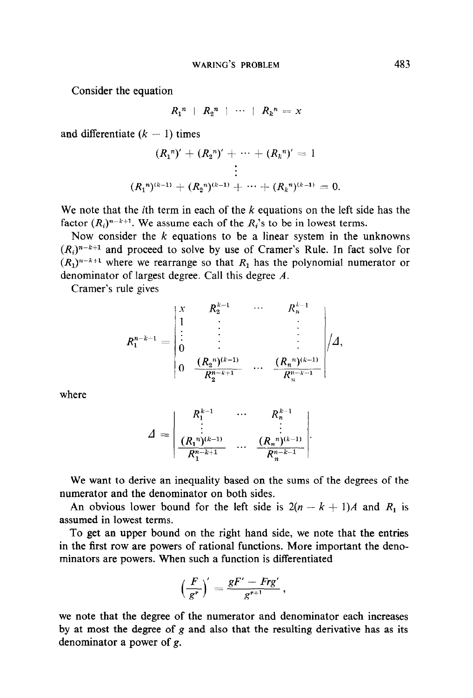Consider the equation

$$
R_1^n + R_2^n + \cdots + R_k^n = x
$$

and differentiate  $(k - 1)$  times

$$
(R_1^n)' + (R_2^n)' + \cdots + (R_k^n)' = 1
$$
  
\n
$$
\vdots
$$
  
\n
$$
(R_1^n)^{(k-1)} + (R_2^n)^{(k-1)} + \cdots + (R_k^n)^{(k-1)} = 0.
$$

We note that the *i*th term in each of the  $k$  equations on the left side has the factor  $(R_i)^{n-k+1}$ . We assume each of the  $R_i$ 's to be in lowest terms.

Now consider the  $k$  equations to be a linear system in the unknowns  $(R_i)^{n-k+1}$  and proceed to solve by use of Cramer's Rule. In fact solve for  $(R_1)^{n-k+1}$  where we rearrange so that  $R_1$  has the polynomial numerator or denominator of largest degree. Call this degree  $A$ .

Cramer's rule gives

$$
R_1^{n-k+1} = \begin{vmatrix} x & R_2^{k-1} & \cdots & R_n^{k-1} \\ \vdots & \vdots & & \vdots \\ 0 & \vdots & & \vdots \\ 0 & \frac{(R_2^n)^{(k-1)}}{R_2^{n-k+1}} & \cdots & \frac{(R_n^n)^{(k-1)}}{R_n^{n-k-1}} \end{vmatrix} / \Delta,
$$

where

$$
\Delta = \begin{vmatrix} R_1^{k-1} & \cdots & R_n^{k-1} \\ \vdots & & \vdots \\ (R_1^{n})^{(k-1)} & \cdots & (R_n^{n})^{(k-1)} \\ \hline R_1^{n-k+1} & \cdots & \frac{(R_n^{n})^{(k-1)}}{R_n^{n-k-1}} \end{vmatrix}.
$$

We want to derive an inequality based on the sums of the degrees of the numerator and the denominator on both sides.

An obvious lower bound for the left side is  $2(n - k + 1)A$  and  $R_1$  is assumed in lowest terms.

To get an upper bound on the right hand side, we note that the entries in the first row are powers of rational functions. More important the denominators are powers. When such a function is differentiated

$$
\Big(\frac{F}{g^r}\Big)'=\frac{gF'-Frg'}{g^{r+1}}\,,
$$

we note that the degree of the numerator and denominator each increases by at most the degree of  $g$  and also that the resulting derivative has as its denominator a power of g.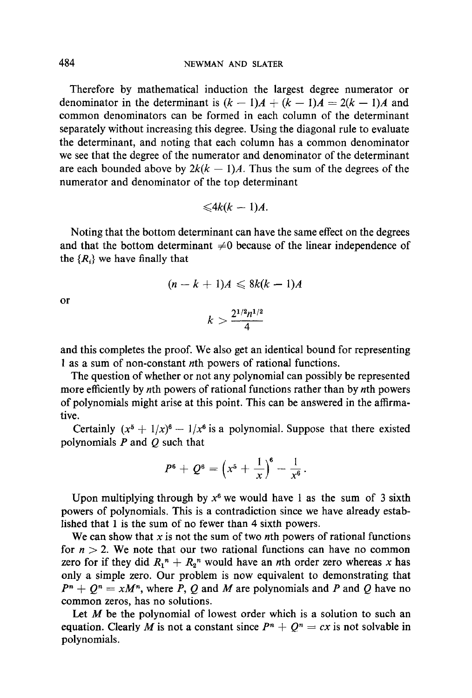Therefore by mathematical induction the largest degree numerator or denominator in the determinant is  $(k - 1)A + (k - 1)A = 2(k - 1)A$  and common denominators can be formed in each column of the determinant separately without increasing this degree. Using the diagonal rule to evaluate the determinant, and noting that each column has a common denominator we see that the degree of the numerator and denominator of the determinant are each bounded above by  $2k(k - 1)A$ . Thus the sum of the degrees of the numerator and denominator of the top determinant

$$
\leq 4k(k-1)A
$$
.

Noting that the bottom determinant can have the same effect on the degrees and that the bottom determinant  $\neq 0$  because of the linear independence of the  $\{R_i\}$  we have finally that

$$
(n-k+1)A \leq 8k(k-1)A
$$

$$
k > \frac{2^{1/2}n^{1/2}}{4}
$$

or

and this completes the proof. We also get an identical bound for representing 
$$
1
$$
 as a sum of non-constant *n*th powers of rational functions.

The question of whether or not any polynomial can possibly be represented more efficiently by nth powers of rational functions rather than by nth powers of polynomials might arise at this point. This can be answered in the affirmative.

Certainly  $(x^5 + 1/x)^6 - 1/x^6$  is a polynomial. Suppose that there existed polynomials  $P$  and  $Q$  such that

$$
P^6 + Q^6 = \left(x^5 + \frac{1}{x}\right)^6 - \frac{1}{x^6}.
$$

Upon multiplying through by  $x^6$  we would have 1 as the sum of 3 sixth powers of polynomials. This is a contradiction since we have already established that 1 is the sum of no fewer than 4 sixth powers.

We can show that  $x$  is not the sum of two nth powers of rational functions for  $n > 2$ . We note that our two rational functions can have no common zero for if they did  $R_1^n + R_2^n$  would have an nth order zero whereas x has only a simple zero. Our problem is now equivalent to demonstrating that  $P^{n} + Q^{n} = xM^{n}$ , where P, Q and M are polynomials and P and Q have no common zeros, has no solutions.

Let  $M$  be the polynomial of lowest order which is a solution to such an equation. Clearly M is not a constant since  $P^n + Q^n = cx$  is not solvable in polynomials.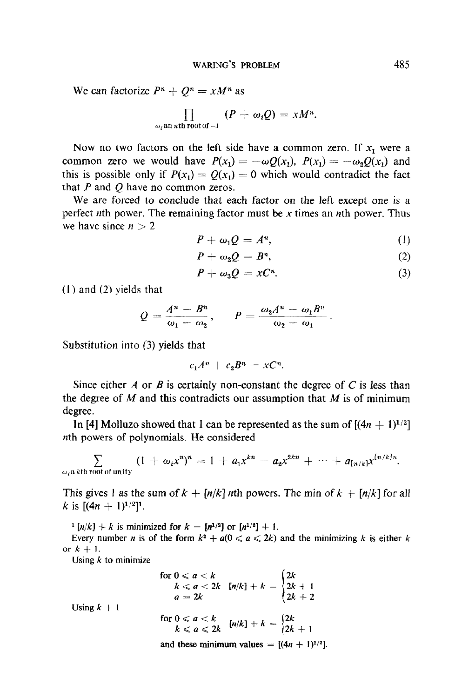We can factorize  $P^n + Q^n = xM^n$  as

$$
\prod_{\omega_i \text{ an } n \text{ th root of } -1} (P + \omega_i Q) = x M^n.
$$

Now no two factors on the left side have a common zero. If  $x_1$  were a common zero we would have  $P(x_1) = -\omega Q(x_1)$ ,  $P(x_1) = -\omega_2 Q(x_1)$  and this is possible only if  $P(x_1) = Q(x_1) = 0$  which would contradict the fact that  $P$  and  $Q$  have no common zeros.

We are forced to conclude that each factor on the left except one is a perfect nth power. The remaining factor must be x times an nth power. Thus we have since  $n > 2$ 

$$
P + \omega_1 Q = A^n, \tag{1}
$$

$$
P + \omega_2 Q = B^n, \tag{2}
$$

$$
P + \omega_3 Q = x C^n. \tag{3}
$$

(1) and (2) yields that

$$
Q=\frac{A^n-B^n}{\omega_1-\omega_2}, \qquad P=\frac{\omega_2A^n-\omega_1B^n}{\omega_2-\omega_1}.
$$

Substitution into (3) yields that

$$
c_1A^n + c_2B^n = xC^n.
$$

Since either A or B is certainly non-constant the degree of C is less than the degree of  $M$  and this contradicts our assumption that  $M$  is of minimum degree.

In [4] Molluzo showed that 1 can be represented as the sum of  $[(4n + 1)^{1/2}]$ nth powers of polynomials. He considered

$$
\sum_{\omega_i a \text{ } k\text{th root of unity}} (1 + \omega_i x^n)^n = 1 + a_1 x^{kn} + a_2 x^{2kn} + \cdots + a_{[n/k]} x^{[n/k]n}.
$$

This gives 1 as the sum of  $k + [n/k]$  nth powers. The min of  $k + [n/k]$  for all k is  $[(4n + 1)^{1/2}]^1$ .

 $1 [n/k] + k$  is minimized for  $k = [n^{1/2}]$  or  $[n^{1/2}] + 1$ .

Every number *n* is of the form  $k^2 + a(0 \le a \le 2k)$  and the minimizing k is either k or  $k + 1$ .

Using  $k$  to minimize

$$
\text{Using } k+1
$$
\n
$$
\text{Using } k+1
$$
\n
$$
\text{for } 0 \le a < k
$$
\n
$$
k < a < 2k \quad [n/k] + k = \begin{cases} 2k \\ 2k+1 \\ 2k+2 \end{cases}
$$
\n
$$
\text{for } 0 \le a < k \\ k < a < 2k \quad [n/k] + k = \begin{cases} 2k \\ 2k+1 \\ 2k+1 \end{cases}
$$
\n
$$
\text{and these minimum values} = \frac{[(4n+1)^{1/2}]}{2n}
$$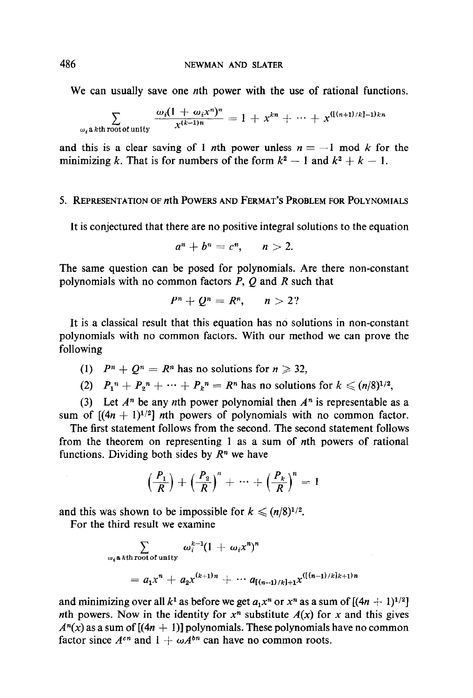We can usually save one *n*th power with the use of rational functions.

$$
\sum_{\omega_i \text{ a } k\text{th root of unity}} \frac{\omega_i (1 + \omega_i x^n)^n}{x^{(k-1)n}} = 1 + x^{kn} + \dots + x^{((n+1)/k]-1)kn}
$$

and this is a clear saving of 1 nth power unless  $n \equiv -1 \mod k$  for the minimizing k. That is for numbers of the form  $k^2 - 1$  and  $k^2 + k - 1$ .

### 5. REPRESENTATION OF nth POWERS AND FERMAT'S PROBLEM FOR POLYNOMIALS

It is conjectured that there are no positive integral solutions to the equation

$$
a^n+b^n=c^n, \qquad n>2.
$$

The same question can be posed for polynomials. Are there non-constant polynomials with no common factors  $P$ ,  $Q$  and  $R$  such that

$$
P^n+Q^n=R^n, \qquad n>2?
$$

It is a classical result that this equation has no solutions in non-constant polynomials with no common factors. With our method we can prove the following

- (1)  $P^n + Q^n = R^n$  has no solutions for  $n \ge 32$ ,
- (2)  $P_1^n + P_2^n + \cdots + P_k^n = R^n$  has no solutions for  $k \leq (n/8)^{1/2}$ ,

(3) Let  $A^n$  be any nth power polynomial then  $A^n$  is representable as a sum of  $[(4n + 1)^{1/2}]$  *n*th powers of polynomials with no common factor.

The first statement follows from the second. The second statement follows from the theorem on representing 1 as a sum of nth powers of rational functions. Dividing both sides by  $R<sup>n</sup>$  we have

$$
\left(\frac{P_1}{R}\right) + \left(\frac{P_2}{R}\right)^n + \dots + \left(\frac{P_k}{R}\right)^n = 1
$$

and this was shown to be impossible for  $k \leq (n/8)^{1/2}$ .

For the third result we examine

$$
\sum_{\omega_i \mathbf{a} \text{ } k \text{th root of unity}} \omega_i^{k-1} (1 + \omega_i x^n)^n
$$
  
=  $a_1 x^n + a_2 x^{(k+1)n} + \cdots + a_{[(n-1)/k]+1} x^{((n-1)/k]k+1)n}$ 

and minimizing over all  $k^1$  as before we get  $a_1x^n$  or  $x^n$  as a sum of  $[(4n + 1)^{1/2}]$ nth powers. Now in the identity for  $x^n$  substitute  $A(x)$  for x and this gives  $A<sup>n</sup>(x)$  as a sum of [(4n + 1)] polynomials. These polynomials have no common factor since  $A^{cn}$  and  $1 + \omega A^{bn}$  can have no common roots.